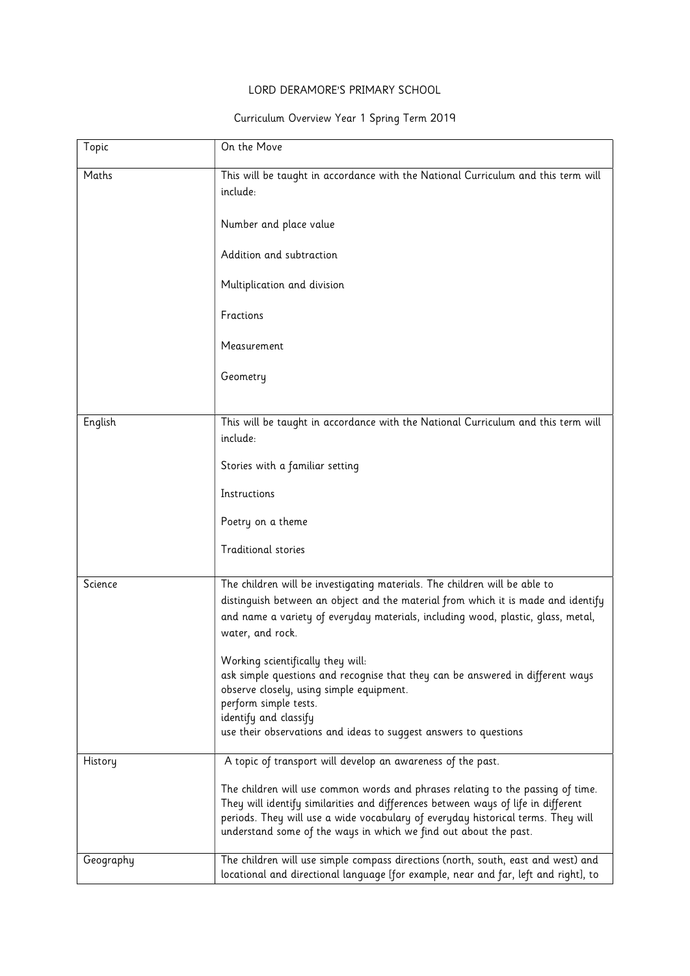## LORD DERAMORE'S PRIMARY SCHOOL

## Curriculum Overview Year 1 Spring Term 2019

| Topic     | On the Move                                                                                                                                                                                                                                                                                                                  |
|-----------|------------------------------------------------------------------------------------------------------------------------------------------------------------------------------------------------------------------------------------------------------------------------------------------------------------------------------|
| Maths     | This will be taught in accordance with the National Curriculum and this term will<br>include:                                                                                                                                                                                                                                |
|           | Number and place value                                                                                                                                                                                                                                                                                                       |
|           | Addition and subtraction                                                                                                                                                                                                                                                                                                     |
|           | Multiplication and division                                                                                                                                                                                                                                                                                                  |
|           | Fractions                                                                                                                                                                                                                                                                                                                    |
|           | Measurement                                                                                                                                                                                                                                                                                                                  |
|           | Geometry                                                                                                                                                                                                                                                                                                                     |
|           |                                                                                                                                                                                                                                                                                                                              |
| English   | This will be taught in accordance with the National Curriculum and this term will<br>include:                                                                                                                                                                                                                                |
|           | Stories with a familiar setting                                                                                                                                                                                                                                                                                              |
|           | Instructions                                                                                                                                                                                                                                                                                                                 |
|           | Poetry on a theme                                                                                                                                                                                                                                                                                                            |
|           | <b>Traditional stories</b>                                                                                                                                                                                                                                                                                                   |
| Science   | The children will be investigating materials. The children will be able to<br>distinguish between an object and the material from which it is made and identify<br>and name a variety of everyday materials, including wood, plastic, glass, metal,<br>water, and rock.                                                      |
|           | Working scientifically they will:<br>ask simple questions and recognise that they can be answered in different ways<br>observe closely, using simple equipment.<br>perform simple tests.<br>identify and classify<br>use their observations and ideas to suggest answers to questions                                        |
| History   | A topic of transport will develop an awareness of the past.                                                                                                                                                                                                                                                                  |
|           | The children will use common words and phrases relating to the passing of time.<br>They will identify similarities and differences between ways of life in different<br>periods. They will use a wide vocabulary of everyday historical terms. They will<br>understand some of the ways in which we find out about the past. |
| Geography | The children will use simple compass directions (north, south, east and west) and<br>locational and directional language [for example, near and far, left and right], to                                                                                                                                                     |